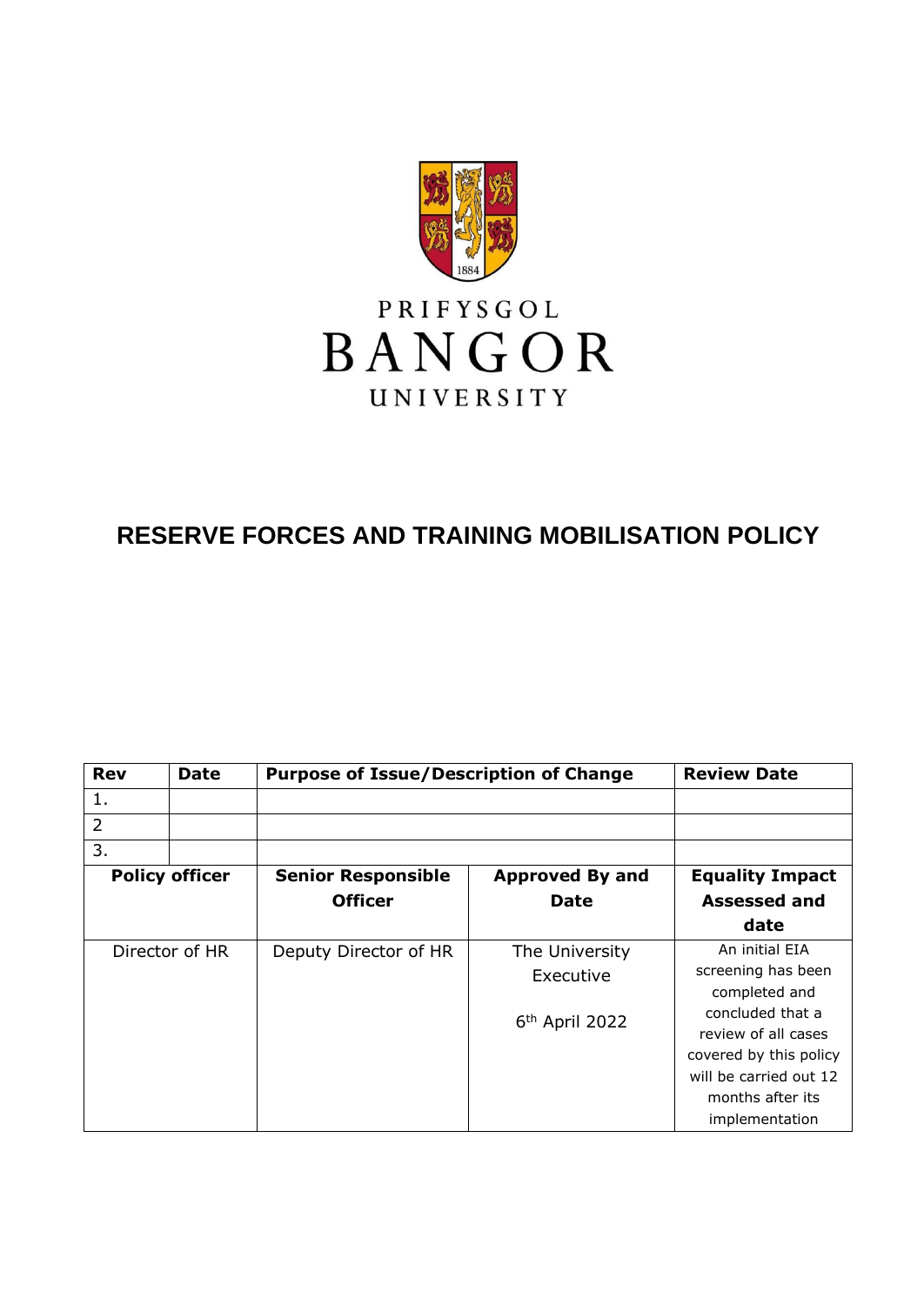

# **RESERVE FORCES AND TRAINING MOBILISATION POLICY**

| <b>Rev</b>            | <b>Date</b> | <b>Purpose of Issue/Description of Change</b> |                            | <b>Review Date</b>                |
|-----------------------|-------------|-----------------------------------------------|----------------------------|-----------------------------------|
| 1.                    |             |                                               |                            |                                   |
| $\overline{2}$        |             |                                               |                            |                                   |
| 3.                    |             |                                               |                            |                                   |
| <b>Policy officer</b> |             | <b>Senior Responsible</b>                     | <b>Approved By and</b>     | <b>Equality Impact</b>            |
|                       |             | <b>Officer</b>                                | <b>Date</b>                | Assessed and                      |
|                       |             |                                               |                            | date                              |
| Director of HR        |             | Deputy Director of HR                         | The University             | An initial EIA                    |
|                       |             |                                               | Executive                  | screening has been                |
|                       |             |                                               | 6 <sup>th</sup> April 2022 | completed and<br>concluded that a |
|                       |             |                                               |                            | review of all cases               |
|                       |             |                                               |                            | covered by this policy            |
|                       |             |                                               |                            | will be carried out 12            |
|                       |             |                                               |                            | months after its                  |
|                       |             |                                               |                            | implementation                    |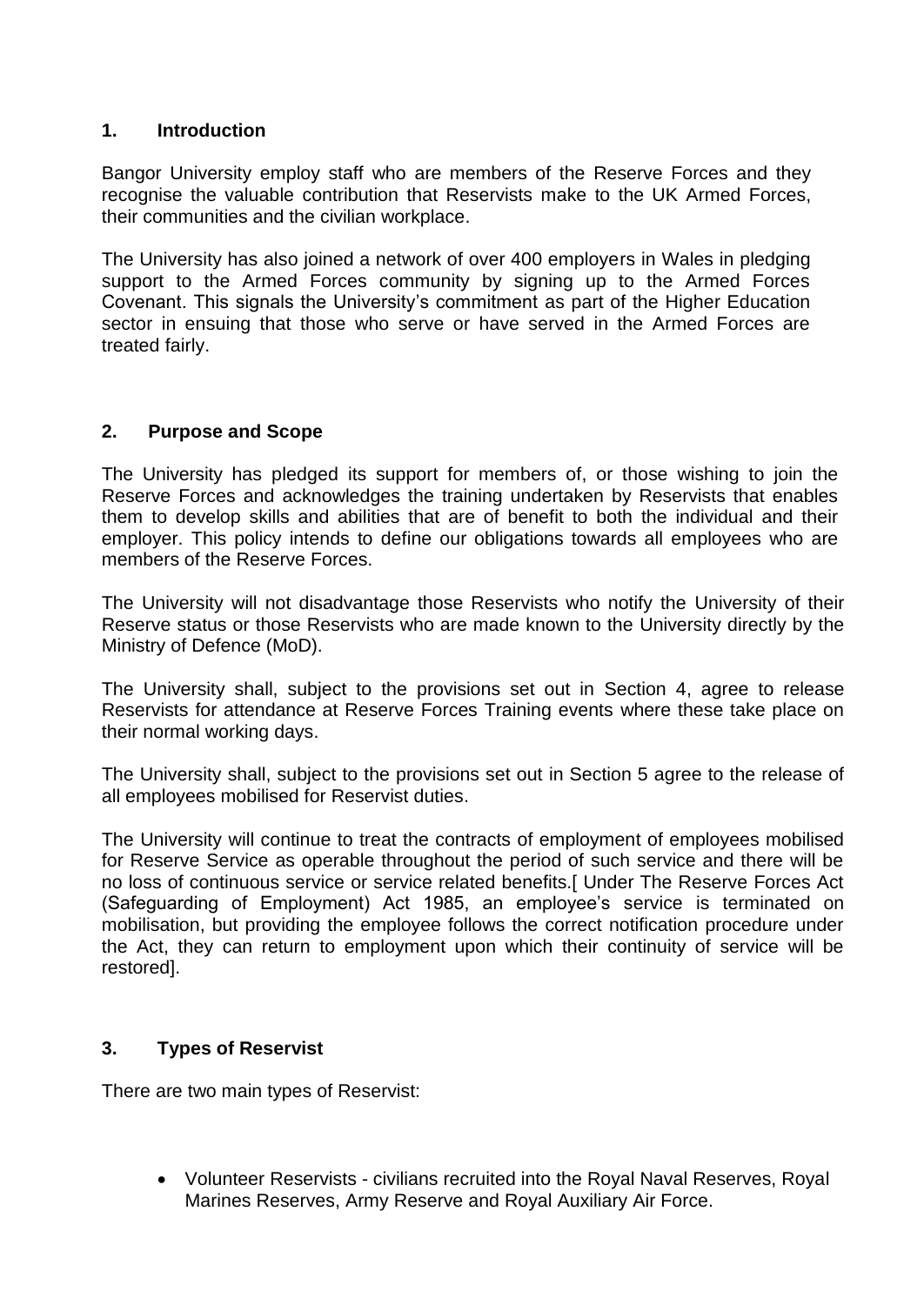## **1. Introduction**

Bangor University employ staff who are members of the Reserve Forces and they recognise the valuable contribution that Reservists make to the UK Armed Forces, their communities and the civilian workplace.

The University has also joined a network of over 400 employers in Wales in pledging support to the Armed Forces community by signing up to the Armed Forces Covenant. This signals the University's commitment as part of the Higher Education sector in ensuing that those who serve or have served in the Armed Forces are treated fairly.

# **2. Purpose and Scope**

The University has pledged its support for members of, or those wishing to join the Reserve Forces and acknowledges the training undertaken by Reservists that enables them to develop skills and abilities that are of benefit to both the individual and their employer. This policy intends to define our obligations towards all employees who are members of the Reserve Forces.

The University will not disadvantage those Reservists who notify the University of their Reserve status or those Reservists who are made known to the University directly by the Ministry of Defence (MoD).

The University shall, subject to the provisions set out in Section 4, agree to release Reservists for attendance at Reserve Forces Training events where these take place on their normal working days.

The University shall, subject to the provisions set out in Section 5 agree to the release of all employees mobilised for Reservist duties.

The University will continue to treat the contracts of employment of employees mobilised for Reserve Service as operable throughout the period of such service and there will be no loss of continuous service or service related benefits.[ Under The Reserve Forces Act (Safeguarding of Employment) Act 1985, an employee's service is terminated on mobilisation, but providing the employee follows the correct notification procedure under the Act, they can return to employment upon which their continuity of service will be restored].

# **3. Types of Reservist**

There are two main types of Reservist:

• Volunteer Reservists - civilians recruited into the Royal Naval Reserves, Royal Marines Reserves, Army Reserve and Royal Auxiliary Air Force.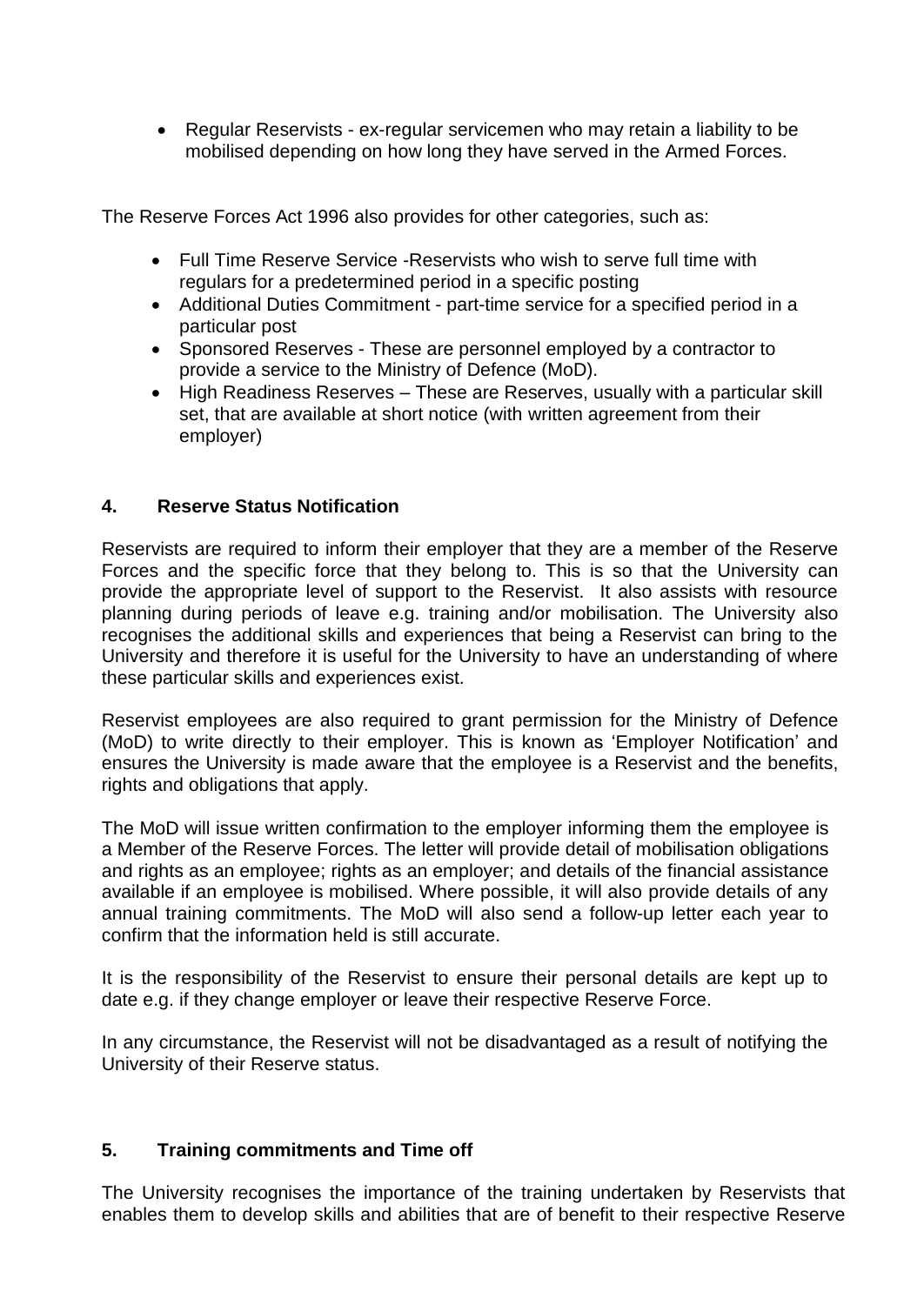• Regular Reservists - ex-regular servicemen who may retain a liability to be mobilised depending on how long they have served in the Armed Forces.

The Reserve Forces Act 1996 also provides for other categories, such as:

- Full Time Reserve Service -Reservists who wish to serve full time with regulars for a predetermined period in a specific posting
- Additional Duties Commitment part-time service for a specified period in a particular post
- Sponsored Reserves These are personnel employed by a contractor to provide a service to the Ministry of Defence (MoD).
- High Readiness Reserves These are Reserves, usually with a particular skill set, that are available at short notice (with written agreement from their employer)

# **4. Reserve Status Notification**

Reservists are required to inform their employer that they are a member of the Reserve Forces and the specific force that they belong to. This is so that the University can provide the appropriate level of support to the Reservist. It also assists with resource planning during periods of leave e.g. training and/or mobilisation. The University also recognises the additional skills and experiences that being a Reservist can bring to the University and therefore it is useful for the University to have an understanding of where these particular skills and experiences exist.

Reservist employees are also required to grant permission for the Ministry of Defence (MoD) to write directly to their employer. This is known as 'Employer Notification' and ensures the University is made aware that the employee is a Reservist and the benefits, rights and obligations that apply.

The MoD will issue written confirmation to the employer informing them the employee is a Member of the Reserve Forces. The letter will provide detail of mobilisation obligations and rights as an employee; rights as an employer; and details of the financial assistance available if an employee is mobilised. Where possible, it will also provide details of any annual training commitments. The MoD will also send a follow-up letter each year to confirm that the information held is still accurate.

It is the responsibility of the Reservist to ensure their personal details are kept up to date e.g. if they change employer or leave their respective Reserve Force.

In any circumstance, the Reservist will not be disadvantaged as a result of notifying the University of their Reserve status.

# **5. Training commitments and Time off**

The University recognises the importance of the training undertaken by Reservists that enables them to develop skills and abilities that are of benefit to their respective Reserve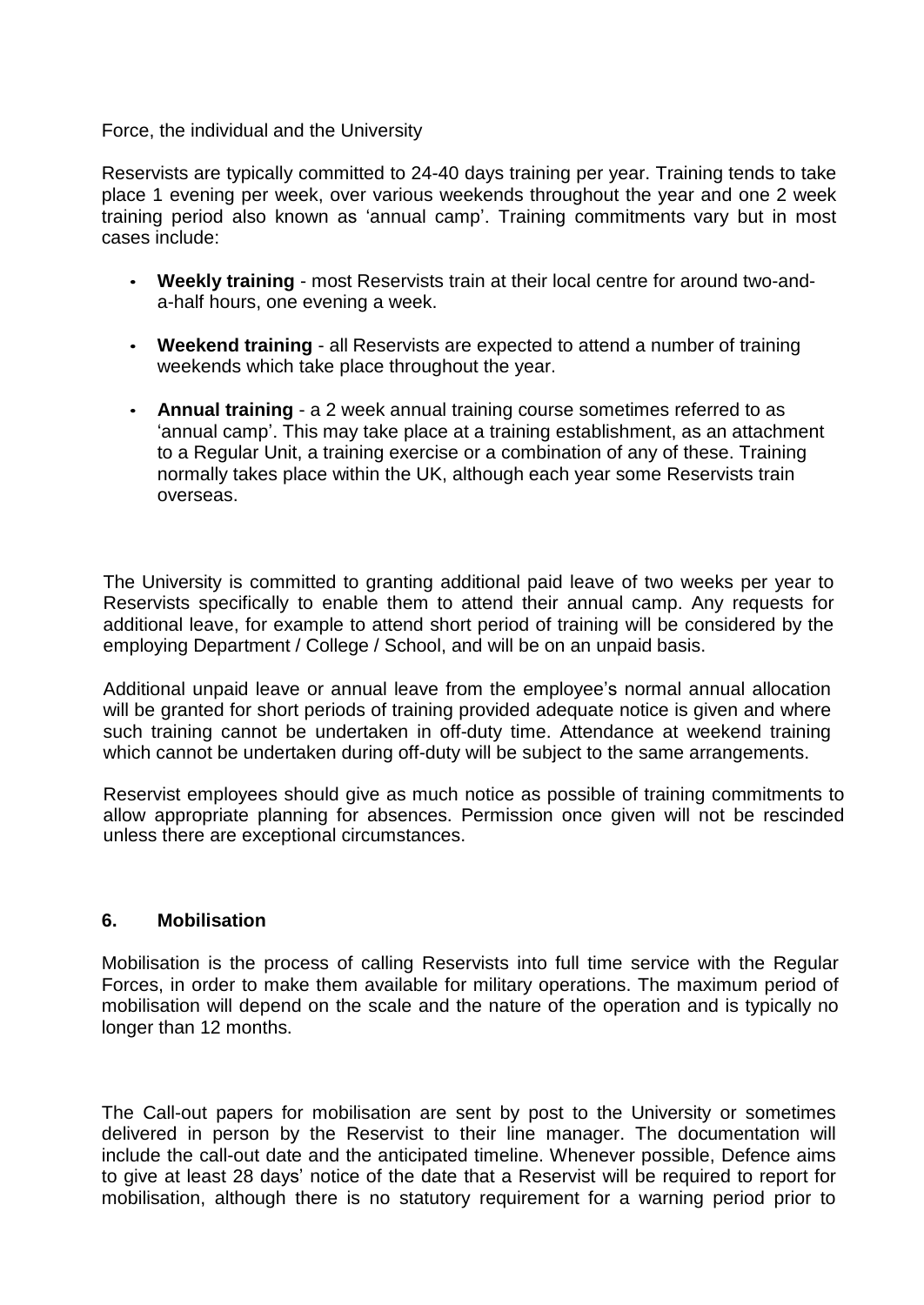#### Force, the individual and the University

Reservists are typically committed to 24-40 days training per year. Training tends to take place 1 evening per week, over various weekends throughout the year and one 2 week training period also known as 'annual camp'. Training commitments vary but in most cases include:

- **Weekly training**  most Reservists train at their local centre for around two-anda-half hours, one evening a week.
- **Weekend training**  all Reservists are expected to attend a number of training weekends which take place throughout the year.
- **Annual training**  a 2 week annual training course sometimes referred to as 'annual camp'. This may take place at a training establishment, as an attachment to a Regular Unit, a training exercise or a combination of any of these. Training normally takes place within the UK, although each year some Reservists train overseas.

The University is committed to granting additional paid leave of two weeks per year to Reservists specifically to enable them to attend their annual camp. Any requests for additional leave, for example to attend short period of training will be considered by the employing Department / College / School, and will be on an unpaid basis.

Additional unpaid leave or annual leave from the employee's normal annual allocation will be granted for short periods of training provided adequate notice is given and where such training cannot be undertaken in off-duty time. Attendance at weekend training which cannot be undertaken during off-duty will be subject to the same arrangements.

Reservist employees should give as much notice as possible of training commitments to allow appropriate planning for absences. Permission once given will not be rescinded unless there are exceptional circumstances.

## **6. Mobilisation**

Mobilisation is the process of calling Reservists into full time service with the Regular Forces, in order to make them available for military operations. The maximum period of mobilisation will depend on the scale and the nature of the operation and is typically no longer than 12 months.

The Call-out papers for mobilisation are sent by post to the University or sometimes delivered in person by the Reservist to their line manager. The documentation will include the call-out date and the anticipated timeline. Whenever possible, Defence aims to give at least 28 days' notice of the date that a Reservist will be required to report for mobilisation, although there is no statutory requirement for a warning period prior to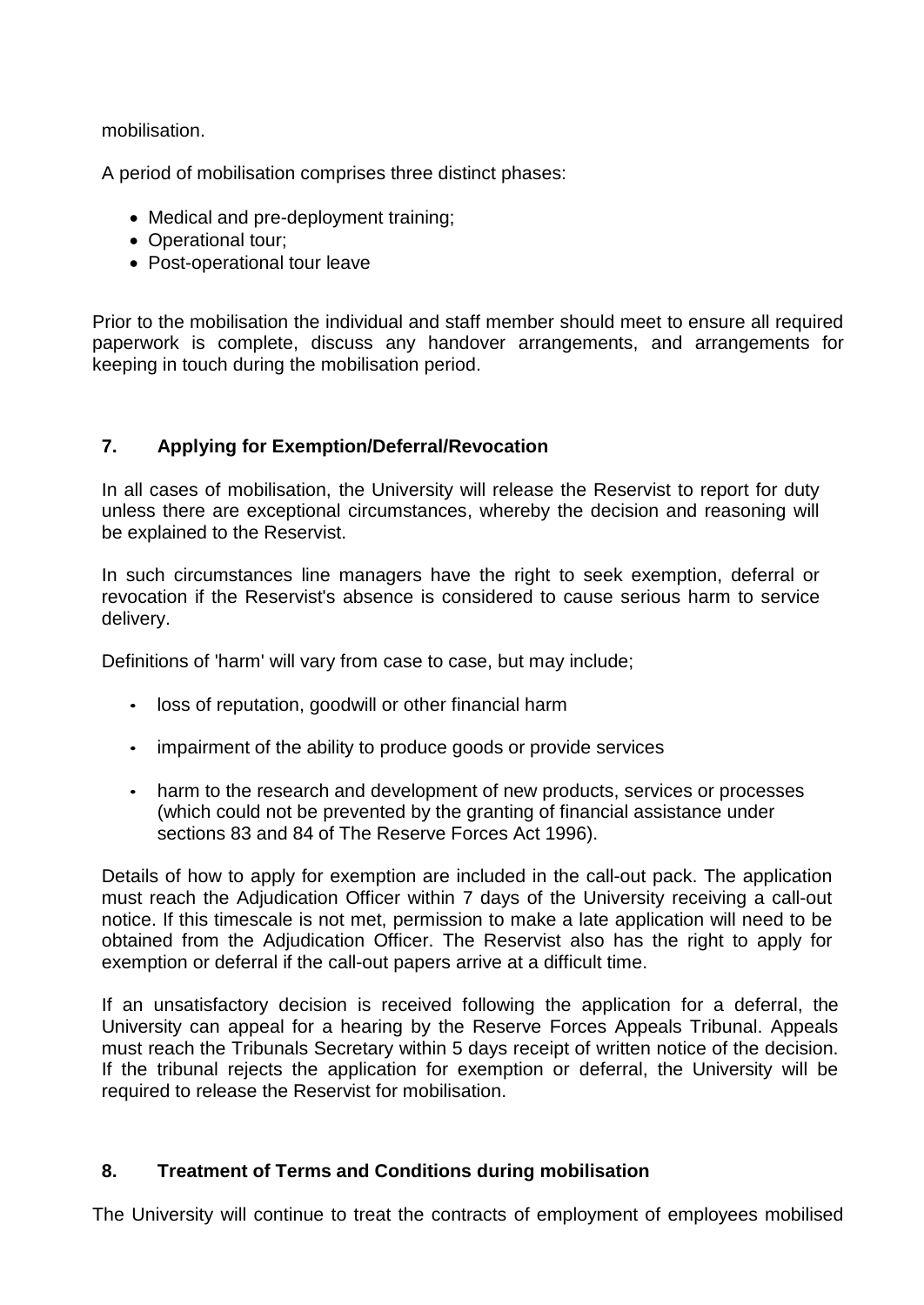mobilisation.

A period of mobilisation comprises three distinct phases:

- Medical and pre-deployment training;
- Operational tour;
- Post-operational tour leave

Prior to the mobilisation the individual and staff member should meet to ensure all required paperwork is complete, discuss any handover arrangements, and arrangements for keeping in touch during the mobilisation period.

# **7. Applying for Exemption/Deferral/Revocation**

In all cases of mobilisation, the University will release the Reservist to report for duty unless there are exceptional circumstances, whereby the decision and reasoning will be explained to the Reservist.

In such circumstances line managers have the right to seek exemption, deferral or revocation if the Reservist's absence is considered to cause serious harm to service delivery.

Definitions of 'harm' will vary from case to case, but may include;

- loss of reputation, goodwill or other financial harm
- impairment of the ability to produce goods or provide services
- harm to the research and development of new products, services or processes (which could not be prevented by the granting of financial assistance under sections 83 and 84 of The Reserve Forces Act 1996).

Details of how to apply for exemption are included in the call-out pack. The application must reach the Adjudication Officer within 7 days of the University receiving a call-out notice. If this timescale is not met, permission to make a late application will need to be obtained from the Adjudication Officer. The Reservist also has the right to apply for exemption or deferral if the call-out papers arrive at a difficult time.

If an unsatisfactory decision is received following the application for a deferral, the University can appeal for a hearing by the Reserve Forces Appeals Tribunal. Appeals must reach the Tribunals Secretary within 5 days receipt of written notice of the decision. If the tribunal rejects the application for exemption or deferral, the University will be required to release the Reservist for mobilisation.

# **8. Treatment of Terms and Conditions during mobilisation**

The University will continue to treat the contracts of employment of employees mobilised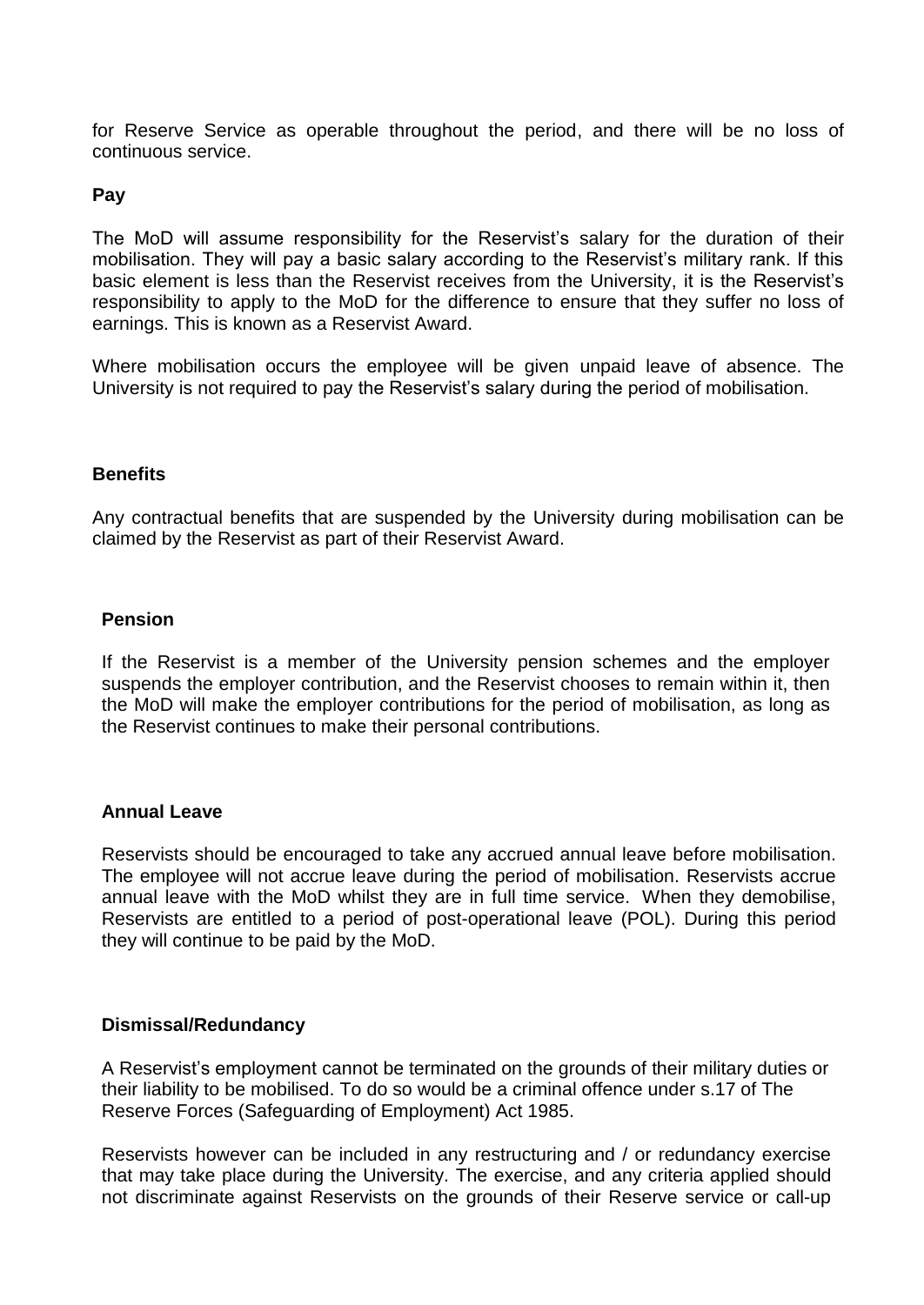for Reserve Service as operable throughout the period, and there will be no loss of continuous service.

## **Pay**

The MoD will assume responsibility for the Reservist's salary for the duration of their mobilisation. They will pay a basic salary according to the Reservist's military rank. If this basic element is less than the Reservist receives from the University, it is the Reservist's responsibility to apply to the MoD for the difference to ensure that they suffer no loss of earnings. This is known as a Reservist Award.

Where mobilisation occurs the employee will be given unpaid leave of absence. The University is not required to pay the Reservist's salary during the period of mobilisation.

#### **Benefits**

Any contractual benefits that are suspended by the University during mobilisation can be claimed by the Reservist as part of their Reservist Award.

#### **Pension**

If the Reservist is a member of the University pension schemes and the employer suspends the employer contribution, and the Reservist chooses to remain within it, then the MoD will make the employer contributions for the period of mobilisation, as long as the Reservist continues to make their personal contributions.

#### **Annual Leave**

Reservists should be encouraged to take any accrued annual leave before mobilisation. The employee will not accrue leave during the period of mobilisation. Reservists accrue annual leave with the MoD whilst they are in full time service. When they demobilise, Reservists are entitled to a period of post-operational leave (POL). During this period they will continue to be paid by the MoD.

#### **Dismissal/Redundancy**

A Reservist's employment cannot be terminated on the grounds of their military duties or their liability to be mobilised. To do so would be a criminal offence under s.17 of The Reserve Forces (Safeguarding of Employment) Act 1985.

Reservists however can be included in any restructuring and / or redundancy exercise that may take place during the University. The exercise, and any criteria applied should not discriminate against Reservists on the grounds of their Reserve service or call-up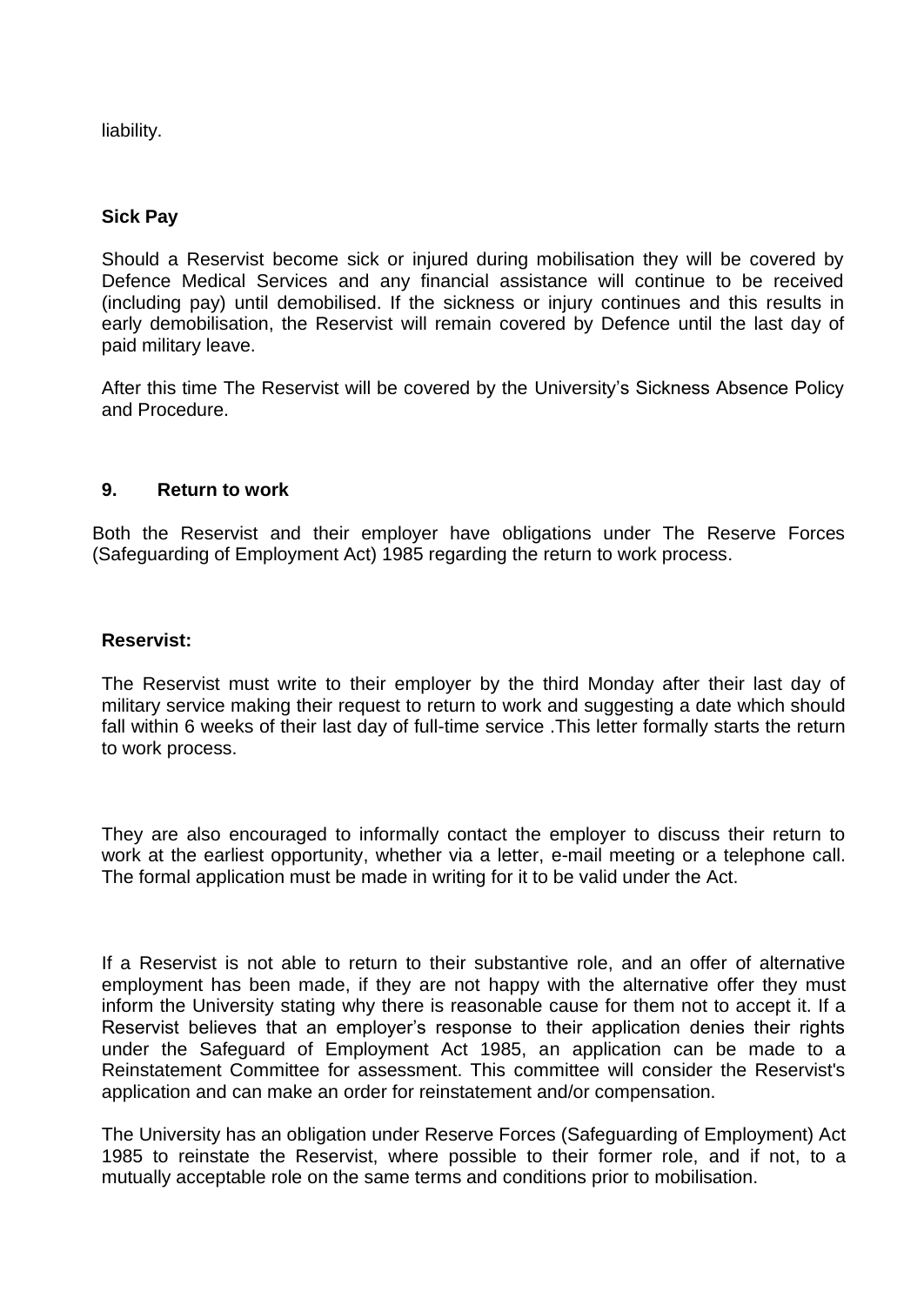liability.

## **Sick Pay**

Should a Reservist become sick or injured during mobilisation they will be covered by Defence Medical Services and any financial assistance will continue to be received (including pay) until demobilised. If the sickness or injury continues and this results in early demobilisation, the Reservist will remain covered by Defence until the last day of paid military leave.

After this time The Reservist will be covered by the University's Sickness Absence Policy and Procedure.

#### **9. Return to work**

Both the Reservist and their employer have obligations under The Reserve Forces (Safeguarding of Employment Act) 1985 regarding the return to work process.

#### **Reservist:**

The Reservist must write to their employer by the third Monday after their last day of military service making their request to return to work and suggesting a date which should fall within 6 weeks of their last day of full-time service .This letter formally starts the return to work process.

They are also encouraged to informally contact the employer to discuss their return to work at the earliest opportunity, whether via a letter, e-mail meeting or a telephone call. The formal application must be made in writing for it to be valid under the Act.

If a Reservist is not able to return to their substantive role, and an offer of alternative employment has been made, if they are not happy with the alternative offer they must inform the University stating why there is reasonable cause for them not to accept it. If a Reservist believes that an employer's response to their application denies their rights under the Safeguard of Employment Act 1985, an application can be made to a Reinstatement Committee for assessment. This committee will consider the Reservist's application and can make an order for reinstatement and/or compensation.

The University has an obligation under Reserve Forces (Safeguarding of Employment) Act 1985 to reinstate the Reservist, where possible to their former role, and if not, to a mutually acceptable role on the same terms and conditions prior to mobilisation.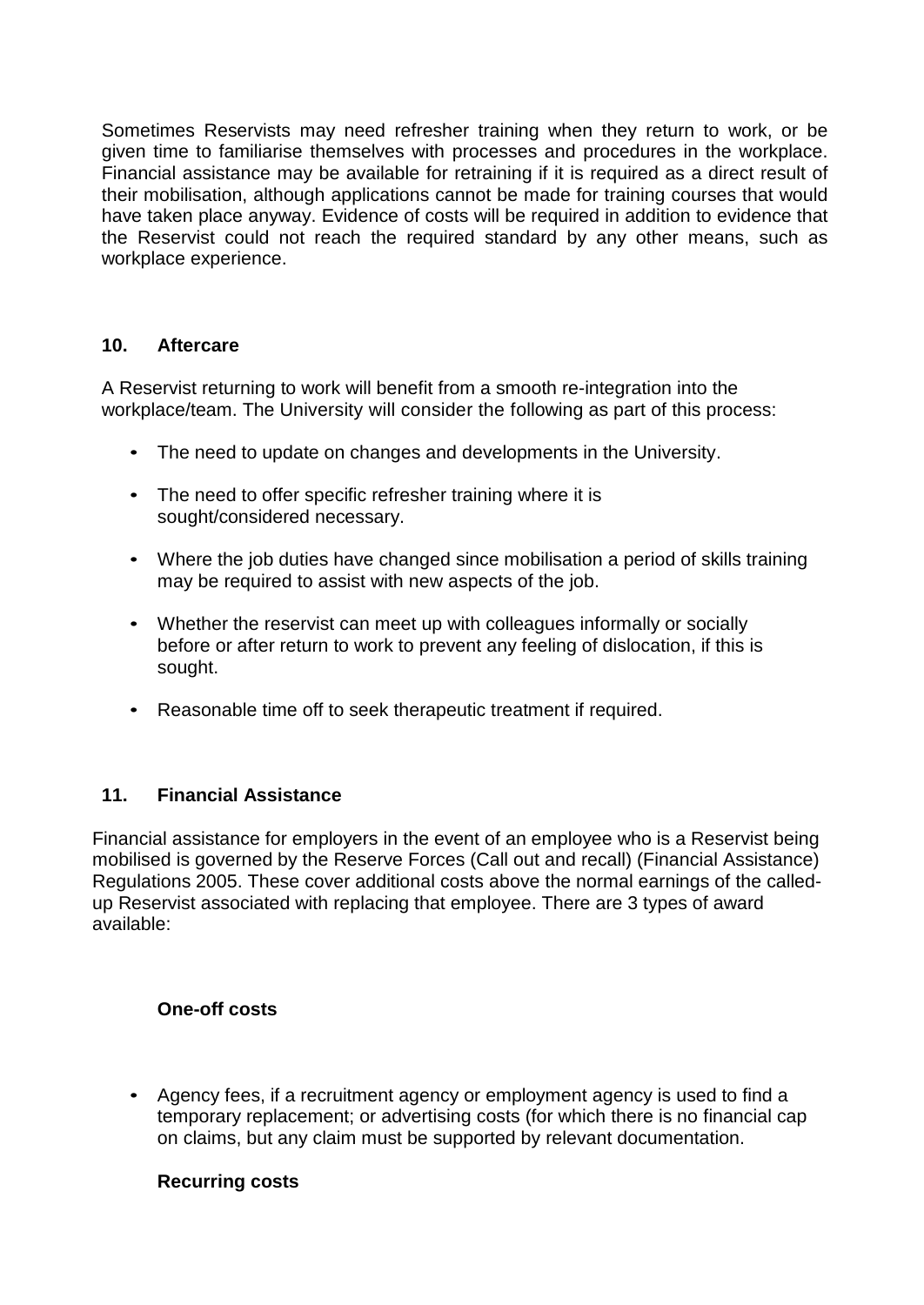Sometimes Reservists may need refresher training when they return to work, or be given time to familiarise themselves with processes and procedures in the workplace. Financial assistance may be available for retraining if it is required as a direct result of their mobilisation, although applications cannot be made for training courses that would have taken place anyway. Evidence of costs will be required in addition to evidence that the Reservist could not reach the required standard by any other means, such as workplace experience.

## **10. Aftercare**

A Reservist returning to work will benefit from a smooth re-integration into the workplace/team. The University will consider the following as part of this process:

- The need to update on changes and developments in the University.
- The need to offer specific refresher training where it is sought/considered necessary.
- Where the job duties have changed since mobilisation a period of skills training may be required to assist with new aspects of the job.
- Whether the reservist can meet up with colleagues informally or socially before or after return to work to prevent any feeling of dislocation, if this is sought.
- Reasonable time off to seek therapeutic treatment if required.

# **11. Financial Assistance**

Financial assistance for employers in the event of an employee who is a Reservist being mobilised is governed by the Reserve Forces (Call out and recall) (Financial Assistance) Regulations 2005. These cover additional costs above the normal earnings of the calledup Reservist associated with replacing that employee. There are 3 types of award available:

## **One-off costs**

• Agency fees, if a recruitment agency or employment agency is used to find a temporary replacement; or advertising costs (for which there is no financial cap on claims, but any claim must be supported by relevant documentation.

## **Recurring costs**